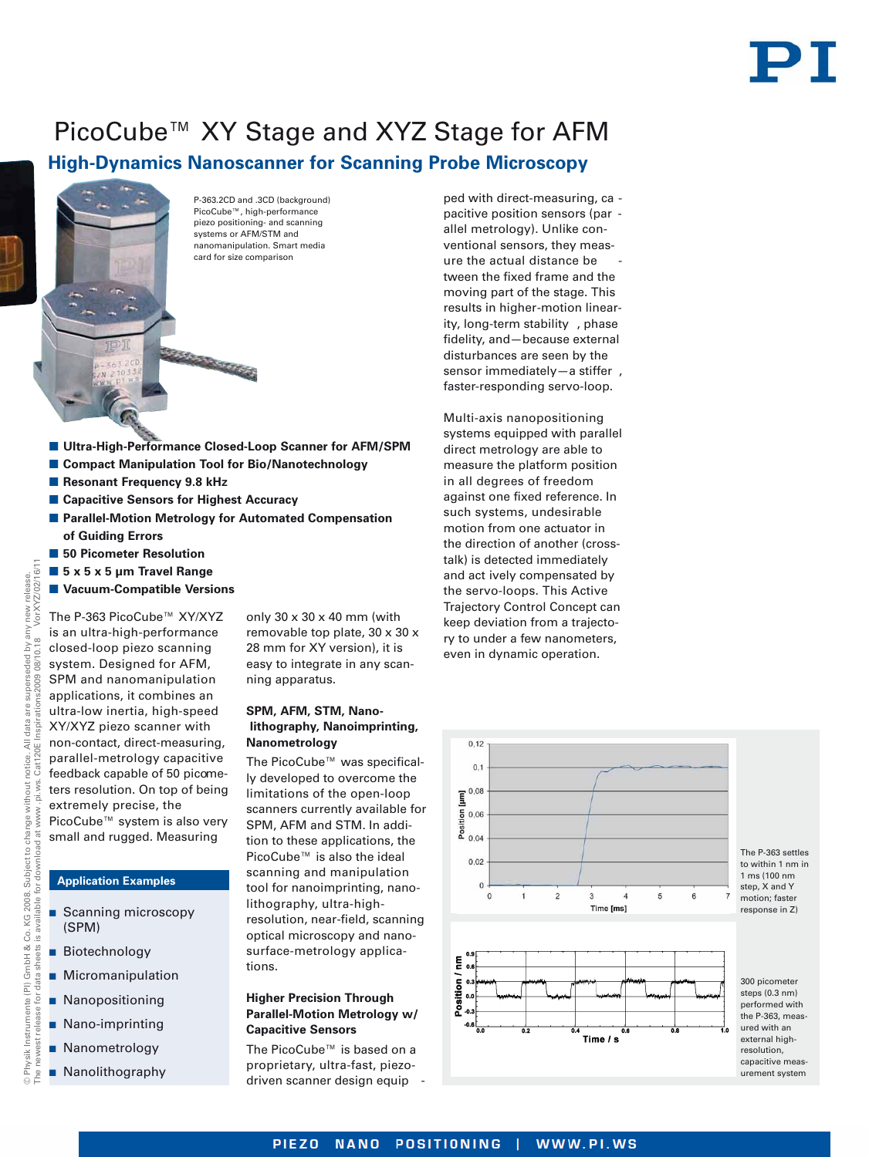# PT

## **High-Dynamics Nanoscanner for Scanning Probe Microscopy** PicoCube™ XY Stage and XYZ Stage for AFM



P-363.2CD and .3CD (background) PicoCube™, high-performance piezo positioning- and scanning systems or AFM/STM and nanomanipulation. Smart media card for size comparison

**E** Ultra-High-Performance Closed-Loop Scanner for AFM/SPM

a hajararan

- **E** Compact Manipulation Tool for Bio/Nanotechnology
- **Resonant Frequency 9.8 kHz**
- Capacitive Sensors for Highest Accuracy
- **E** Parallel-Motion Metrology for Automated Compensation **of Guiding Errors**
- 50 Picometer Resolution
- 5 x 5 x 5 µm Travel Range
- **E** Vacuum-Compatible Versions

The P-363 PicoCube™ XY/XYZ is an ultra-high-performance closed-loop piezo scanning system. Designed for AFM, SPM and nanomanipulation applications, it combines an ultra-low inertia, high-speed XY/XYZ piezo scanner with non-contact, direct-measuring, parallel-metrology capacitive feedback capable of 50 picometers resolution. On top of being extremely precise, the PicoCube™ system is also very small and rugged. Measuring

#### **Application Examples**

© Physik Instrumente (PI) GmbH & Co. KG 2008. Subject to change without notice. All data are superseded by any new release.

change  $\vec{a}$ 

Instrumente (PI) GmbH & Co. KG 2008. Subject

© Physik

without

The newest release for data sheets is available for download at [www](http://www.pi.ws) .[pi.ws.](http://www.pi.ws) Cat120E Inspirations2009 08/10.18

beo  $\overline{\phantom{0}}^{\circ}$ 

VorXYZ/02/16/11

vur  $\geq$ 

are superseded ò

notice. All data

 $7/2/16/11$ new release.

- **B** Scanning microscopy (SPM)
- **Biotechnology**
- **Micromanipulation**
- **Nanopositioning**
- **Nano-imprinting**
- **Nanometrology**
- **Nanolithography**

only 30 x 30 x 40 mm (with removable top plate, 30 x 30 x 28 mm for XY version), it is easy to integrate in any scanning apparatus.

### **SPM, AFM, STM, Nanolithography, Nanoimprinting, Nanometrology**

The PicoCube™ was specifically developed to overcome the limitations of the open-loop scanners currently available for SPM, AFM and STM. In addition to these applications, the PicoCube™ is also the ideal scanning and manipulation tool for nanoimprinting, nanolithography, ultra-highresolution, near-field, scanning optical microscopy and nanosurface-metrology applications.

#### **Higher Precision Through Parallel-Motion Metrology w/ Capacitive Sensors**

The PicoCube™ is based on a proprietary, ultra-fast, piezodriven scanner design equip -

ped with direct-measuring, ca pacitive position sensors (par allel metrology). Unlike conventional sensors, they measure the actual distance be tween the fixed frame and the moving part of the stage. This results in higher-motion linearity, long-term stability , phase fidelity, and—because external disturbances are seen by the sensor immediately—a stiffer , faster-responding servo-loop.

Multi-axis nanopositioning systems equipped with parallel direct metrology are able to measure the platform position in all degrees of freedom against one fixed reference. In such systems, undesirable motion from one actuator in the direction of another (crosstalk) is detected immediately and act ively compensated by the servo-loops. This Active Trajectory Control Concept can keep deviation from a trajectory to under a few nanometers, even in dynamic operation.



PIEZO NANO POSITIONING | WWW.PI.WS